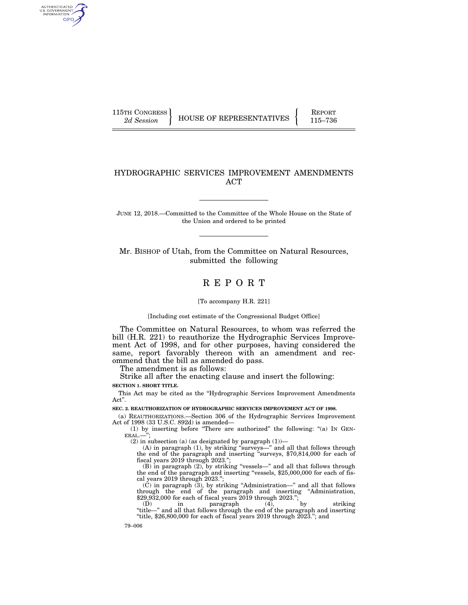AUTHENTICATED<br>U.S. GOVERNMENT<br>INFORMATION GPO

115TH CONGRESS **REPORT 115TH CONGRESS** HOUSE OF REPRESENTATIVES **F**  $R = \begin{bmatrix} 115-736 \\ 115-736 \end{bmatrix}$ 

## HYDROGRAPHIC SERVICES IMPROVEMENT AMENDMENTS ACT

JUNE 12, 2018.—Committed to the Committee of the Whole House on the State of the Union and ordered to be printed

Mr. BISHOP of Utah, from the Committee on Natural Resources, submitted the following

# R E P O R T

[To accompany H.R. 221]

[Including cost estimate of the Congressional Budget Office]

The Committee on Natural Resources, to whom was referred the bill (H.R. 221) to reauthorize the Hydrographic Services Improvement Act of 1998, and for other purposes, having considered the same, report favorably thereon with an amendment and recommend that the bill as amended do pass.

The amendment is as follows:

Strike all after the enacting clause and insert the following:

**SECTION 1. SHORT TITLE.** 

This Act may be cited as the ''Hydrographic Services Improvement Amendments Act''.

**SEC. 2. REAUTHORIZATION OF HYDROGRAPHIC SERVICES IMPROVEMENT ACT OF 1998.** 

(a) REAUTHORIZATIONS.—Section 306 of the Hydrographic Services Improvement Act of 1998 (33 U.S.C. 892d) is amended—

(1) by inserting before ''There are authorized'' the following: ''(a) IN GEN- $ERAL.$ -

(2) in subsection (a) (as designated by paragraph  $(1)$ )—

(A) in paragraph (1), by striking ''surveys—'' and all that follows through the end of the paragraph and inserting ''surveys, \$70,814,000 for each of fiscal years 2019 through 2023.'';

(B) in paragraph (2), by striking ''vessels—'' and all that follows through the end of the paragraph and inserting "vessels, \$25,000,000 for each of fiscal years 2019 through 2023."

(C) in paragraph (3), by striking ''Administration—'' and all that follows through the end of the paragraph and inserting ''Administration, \$29,932,000 for each of fiscal years 2019 through 2023.'';

(D) in paragraph (4), by striking  $\text{``title}$ " and all that follows through the end of the paragraph and inserting "title,  $$26,800,000$  for each of fiscal years  $2019$  through  $2023$ ."; and

79–006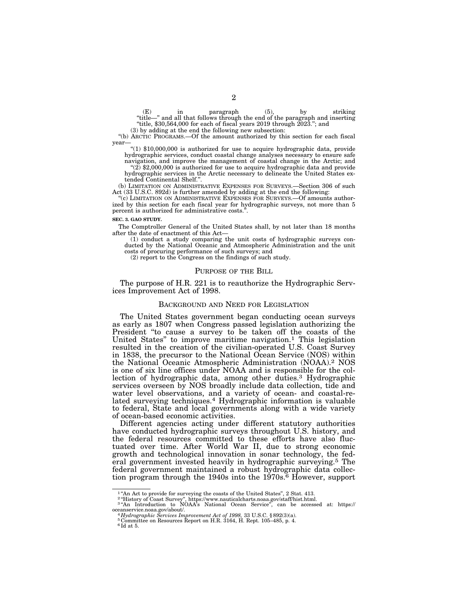(E) in paragraph (5), by striking ''title—'' and all that follows through the end of the paragraph and inserting "title,  $$30,564,000$  for each of fiscal years  $2019$  through  $2023$ ."; and

(3) by adding at the end the following new subsection:

''(b) ARCTIC PROGRAMS.—Of the amount authorized by this section for each fiscal year—

 $*(1)$  \$10,000,000 is authorized for use to acquire hydrographic data, provide hydrographic services, conduct coastal change analyses necessary to ensure safe navigation, and improve the management of coastal change in the Arctic; and  $(2)$  \$2,000,000 is authorized for use to acquire hydrographic data and provide

hydrographic services in the Arctic necessary to delineate the United States extended Continental Shelf.''.

(b) LIMITATION ON ADMINISTRATIVE EXPENSES FOR SURVEYS.—Section 306 of such Act (33 U.S.C. 892d) is further amended by adding at the end the following:

"(c) LIMITATION ON ADMINISTRATIVE EXPENSES FOR SURVEYS.—Of amounts authorized by this section for each fiscal year for hydrographic surveys, not more than 5 percent is authorized for administrative costs.'

#### **SEC. 3. GAO STUDY.**

The Comptroller General of the United States shall, by not later than 18 months after the date of enactment of this Act—

(1) conduct a study comparing the unit costs of hydrographic surveys conducted by the National Oceanic and Atmospheric Administration and the unit costs of procuring performance of such surveys; and

(2) report to the Congress on the findings of such study.

#### PURPOSE OF THE BILL

The purpose of H.R. 221 is to reauthorize the Hydrographic Services Improvement Act of 1998.

#### BACKGROUND AND NEED FOR LEGISLATION

The United States government began conducting ocean surveys as early as 1807 when Congress passed legislation authorizing the President "to cause a survey to be taken off the coasts of the United States" to improve maritime navigation.<sup>1</sup> This legislation resulted in the creation of the civilian-operated U.S. Coast Survey in 1838, the precursor to the National Ocean Service (NOS) within the National Oceanic Atmospheric Administration (NOAA).2 NOS is one of six line offices under NOAA and is responsible for the collection of hydrographic data, among other duties.<sup>3</sup> Hydrographic services overseen by NOS broadly include data collection, tide and water level observations, and a variety of ocean- and coastal-related surveying techniques.4 Hydrographic information is valuable to federal, State and local governments along with a wide variety of ocean-based economic activities.

Different agencies acting under different statutory authorities have conducted hydrographic surveys throughout U.S. history, and the federal resources committed to these efforts have also fluctuated over time. After World War II, due to strong economic growth and technological innovation in sonar technology, the federal government invested heavily in hydrographic surveying.5 The federal government maintained a robust hydrographic data collection program through the 1940s into the 1970s.<sup>6</sup> However, support

<sup>&</sup>lt;sup>1</sup>"An Act to provide for surveying the coasts of the United States", 2 Stat. 413.

<sup>2</sup> ''History of Coast Survey'', https://www.nauticalcharts.noaa.gov/staff/hist.html. 3 ''An Introduction to NOAA's National Ocean Service'', can be accessed at: https:// oceanservice.noaa.gov/about/. 4 *Hydrographic Services Improvement Act of 1998,* 33 U.S.C. § 892(3)(a). 5 Committee on Resources Report on H.R. 3164, H. Rept. 105–485, p. 4.

<sup>6</sup> Id at 5.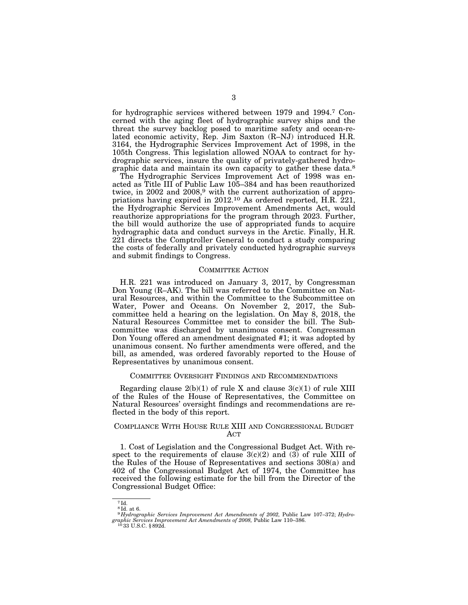for hydrographic services withered between 1979 and 1994.7 Concerned with the aging fleet of hydrographic survey ships and the threat the survey backlog posed to maritime safety and ocean-related economic activity, Rep. Jim Saxton (R–NJ) introduced H.R. 3164, the Hydrographic Services Improvement Act of 1998, in the 105th Congress. This legislation allowed NOAA to contract for hydrographic services, insure the quality of privately-gathered hydrographic data and maintain its own capacity to gather these data.8

The Hydrographic Services Improvement Act of 1998 was enacted as Title III of Public Law 105–384 and has been reauthorized twice, in 2002 and 2008,<sup>9</sup> with the current authorization of appropriations having expired in 2012.<sup>10</sup> As ordered reported, H.R. 221, the Hydrographic Services Improvement Amendments Act, would reauthorize appropriations for the program through 2023. Further, the bill would authorize the use of appropriated funds to acquire hydrographic data and conduct surveys in the Arctic. Finally, H.R. 221 directs the Comptroller General to conduct a study comparing the costs of federally and privately conducted hydrographic surveys and submit findings to Congress.

## COMMITTEE ACTION

H.R. 221 was introduced on January 3, 2017, by Congressman Don Young (R–AK). The bill was referred to the Committee on Natural Resources, and within the Committee to the Subcommittee on Water, Power and Oceans. On November 2, 2017, the Subcommittee held a hearing on the legislation. On May 8, 2018, the Natural Resources Committee met to consider the bill. The Subcommittee was discharged by unanimous consent. Congressman Don Young offered an amendment designated #1; it was adopted by unanimous consent. No further amendments were offered, and the bill, as amended, was ordered favorably reported to the House of Representatives by unanimous consent.

#### COMMITTEE OVERSIGHT FINDINGS AND RECOMMENDATIONS

Regarding clause  $2(b)(1)$  of rule X and clause  $3(c)(1)$  of rule XIII of the Rules of the House of Representatives, the Committee on Natural Resources' oversight findings and recommendations are reflected in the body of this report.

#### COMPLIANCE WITH HOUSE RULE XIII AND CONGRESSIONAL BUDGET ACT

1. Cost of Legislation and the Congressional Budget Act. With respect to the requirements of clause  $3(c)(2)$  and  $(3)$  of rule XIII of the Rules of the House of Representatives and sections 308(a) and 402 of the Congressional Budget Act of 1974, the Committee has received the following estimate for the bill from the Director of the Congressional Budget Office:

<sup>7</sup> Id. 8 Id. at 6.

<sup>9</sup> *Hydrographic Services Improvement Act Amendments of 2002,* Public Law 107–372; *Hydrographic Services Improvement Act Amendments of 2008, Public Law 110–386.* <sup>10</sup> 33 U.S.C. § 892d.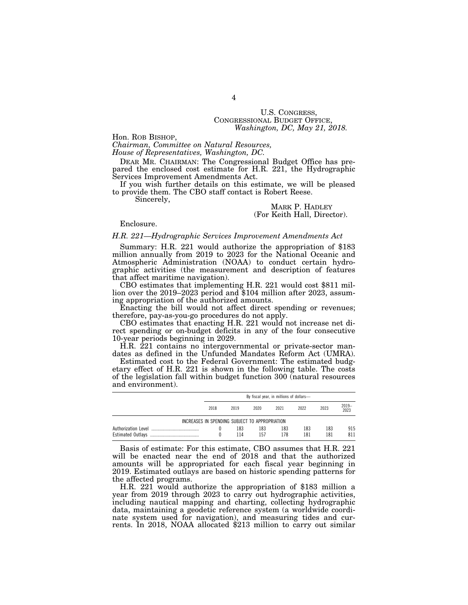# U.S. CONGRESS, CONGRESSIONAL BUDGET OFFICE, *Washington, DC, May 21, 2018.*

Hon. ROB BISHOP,

*Chairman, Committee on Natural Resources, House of Representatives, Washington, DC.* 

DEAR MR. CHAIRMAN: The Congressional Budget Office has prepared the enclosed cost estimate for H.R. 221, the Hydrographic Services Improvement Amendments Act.

If you wish further details on this estimate, we will be pleased to provide them. The CBO staff contact is Robert Reese.

Sincerely,

#### MARK P. HADLEY (For Keith Hall, Director).

Enclosure.

#### *H.R. 221—Hydrographic Services Improvement Amendments Act*

Summary: H.R. 221 would authorize the appropriation of \$183 million annually from 2019 to 2023 for the National Oceanic and Atmospheric Administration (NOAA) to conduct certain hydrographic activities (the measurement and description of features that affect maritime navigation).

CBO estimates that implementing H.R. 221 would cost \$811 million over the 2019–2023 period and \$104 million after 2023, assuming appropriation of the authorized amounts.

Enacting the bill would not affect direct spending or revenues; therefore, pay-as-you-go procedures do not apply.

CBO estimates that enacting H.R. 221 would not increase net direct spending or on-budget deficits in any of the four consecutive 10-year periods beginning in 2029.

H.R. 221 contains no intergovernmental or private-sector mandates as defined in the Unfunded Mandates Reform Act (UMRA).

Estimated cost to the Federal Government: The estimated budgetary effect of H.R. 221 is shown in the following table. The costs of the legislation fall within budget function 300 (natural resources and environment).

|                                                | By fiscal year, in millions of dollars- |            |            |            |            |            |            |
|------------------------------------------------|-----------------------------------------|------------|------------|------------|------------|------------|------------|
|                                                | 2018                                    | 2019       | 2020       | 2021       | 2022       | 2023       | 2019-2023  |
| INCREASES IN SPENDING SUBJECT TO APPROPRIATION |                                         |            |            |            |            |            |            |
| Authorization Level                            |                                         | 183<br>114 | 183<br>157 | 183<br>178 | 183<br>181 | 183<br>181 | 915<br>811 |

Basis of estimate: For this estimate, CBO assumes that H.R. 221 will be enacted near the end of 2018 and that the authorized amounts will be appropriated for each fiscal year beginning in 2019. Estimated outlays are based on historic spending patterns for the affected programs.

H.R. 221 would authorize the appropriation of \$183 million a year from 2019 through 2023 to carry out hydrographic activities, including nautical mapping and charting, collecting hydrographic data, maintaining a geodetic reference system (a worldwide coordinate system used for navigation), and measuring tides and currents. In 2018, NOAA allocated \$213 million to carry out similar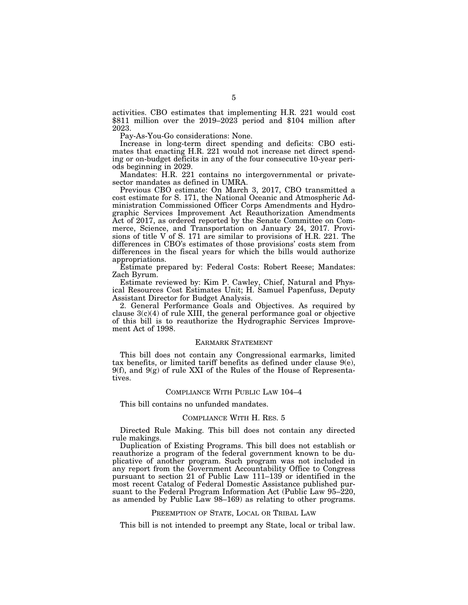activities. CBO estimates that implementing H.R. 221 would cost \$811 million over the 2019–2023 period and \$104 million after 2023.

Pay-As-You-Go considerations: None.

Increase in long-term direct spending and deficits: CBO estimates that enacting H.R. 221 would not increase net direct spending or on-budget deficits in any of the four consecutive 10-year periods beginning in 2029.

Mandates: H.R. 221 contains no intergovernmental or privatesector mandates as defined in UMRA.

Previous CBO estimate: On March 3, 2017, CBO transmitted a cost estimate for S. 171, the National Oceanic and Atmospheric Administration Commissioned Officer Corps Amendments and Hydrographic Services Improvement Act Reauthorization Amendments Act of 2017, as ordered reported by the Senate Committee on Commerce, Science, and Transportation on January 24, 2017. Provisions of title V of S. 171 are similar to provisions of H.R. 221. The differences in CBO's estimates of those provisions' costs stem from differences in the fiscal years for which the bills would authorize appropriations.

Estimate prepared by: Federal Costs: Robert Reese; Mandates: Zach Byrum.

Estimate reviewed by: Kim P. Cawley, Chief, Natural and Physical Resources Cost Estimates Unit; H. Samuel Papenfuss, Deputy Assistant Director for Budget Analysis.

2. General Performance Goals and Objectives. As required by clause  $3(c)(4)$  of rule XIII, the general performance goal or objective of this bill is to reauthorize the Hydrographic Services Improvement Act of 1998.

#### EARMARK STATEMENT

This bill does not contain any Congressional earmarks, limited tax benefits, or limited tariff benefits as defined under clause 9(e),  $9(f)$ , and  $9(g)$  of rule XXI of the Rules of the House of Representatives.

#### COMPLIANCE WITH PUBLIC LAW 104–4

This bill contains no unfunded mandates.

#### COMPLIANCE WITH H. RES. 5

Directed Rule Making. This bill does not contain any directed rule makings.

Duplication of Existing Programs. This bill does not establish or reauthorize a program of the federal government known to be duplicative of another program. Such program was not included in any report from the Government Accountability Office to Congress pursuant to section 21 of Public Law 111–139 or identified in the most recent Catalog of Federal Domestic Assistance published pursuant to the Federal Program Information Act (Public Law 95–220, as amended by Public Law 98–169) as relating to other programs.

#### PREEMPTION OF STATE, LOCAL OR TRIBAL LAW

This bill is not intended to preempt any State, local or tribal law.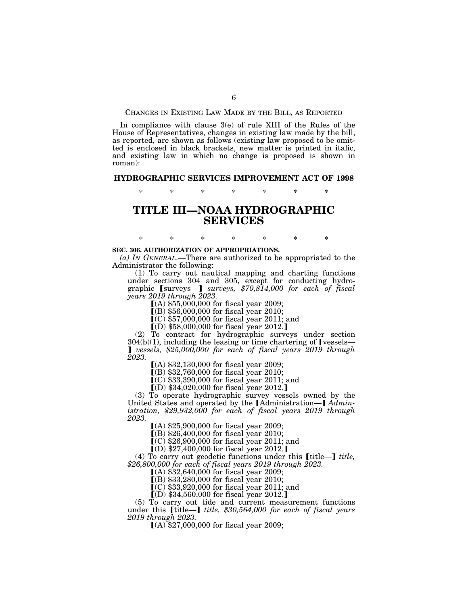CHANGES IN EXISTING LAW MADE BY THE BILL, AS REPORTED

In compliance with clause 3(e) of rule XIII of the Rules of the House of Representatives, changes in existing law made by the bill, as reported, are shown as follows (existing law proposed to be omitted is enclosed in black brackets, new matter is printed in italic, and existing law in which no change is proposed is shown in roman):

#### **HYDROGRAPHIC SERVICES IMPROVEMENT ACT OF 1998**

\* \* \* \* \* \* \*

# **TITLE III—NOAA HYDROGRAPHIC SERVICES**

### **SEC. 306. AUTHORIZATION OF APPROPRIATIONS.**

*(a) IN GENERAL*.—There are authorized to be appropriated to the Administrator the following:

\* \* \* \* \* \* \*

(1) To carry out nautical mapping and charting functions under sections 304 and 305, except for conducting hydrographic [surveys-] *surveys, \$70,814,000 for each of fiscal years 2019 through 2023.* 

 $(A)$  \$55,000,000 for fiscal year 2009;

 $[(B) $56,000,000$  for fiscal year 2010;

 $(C)$  \$57,000,000 for fiscal year 2011; and

 $(O)$ \$58,000,000 for fiscal year 2012.]

(2) To contract for hydrographic surveys under section  $304(b)(1)$ , including the leasing or time chartering of [vessels— **J** vessels, \$25,000,000 for each of fiscal years 2019 through *2023.* 

 $(A)$  \$32,130,000 for fiscal year 2009;

 $[(B) $32,760,000$  for fiscal year 2010;

 $(C)$  \$33,390,000 for fiscal year 2011; and

 $(D)$  \$34,020,000 for fiscal year 2012.]

(3) To operate hydrographic survey vessels owned by the United States and operated by the [Administration-] Admin*istration, \$29,932,000 for each of fiscal years 2019 through 2023.* 

 $(A)$  \$25,900,000 for fiscal year 2009;

 $($ B) \$26,400,000 for fiscal year 2010;

 $(C)$  \$26,900,000 for fiscal year 2011; and

 $(D)$  \$27,400,000 for fiscal year 2012.

(4) To carry out geodetic functions under this  $[\text{title}$ *title*, *\$26,800,000 for each of fiscal years 2019 through 2023.*  ø(A) \$32,640,000 for fiscal year 2009;

 $\overline{[}$ (B) \$33,280,000 for fiscal year 2010;

 $\vec{C}$  \$33,920,000 for fiscal year 2011; and

 $(D)$  \$34,560,000 for fiscal year 2012.]

(5) To carry out tide and current measurement functions under this [title—] *title, \$30,564,000 for each of fiscal years 2019 through 2023.* 

 $(A)$  \$27,000,000 for fiscal year 2009;